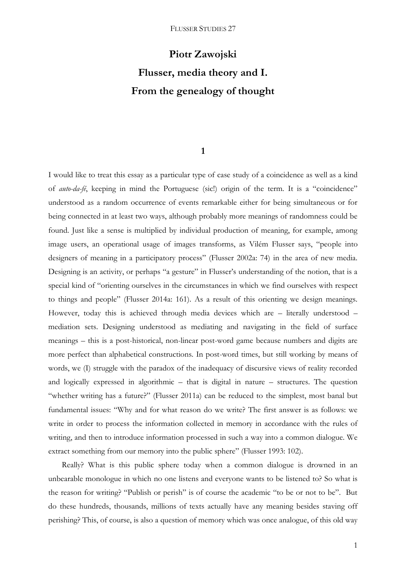# **Piotr Zawojski Flusser, media theory and I. From the genealogy of thought**

# **1**

I would like to treat this essay as a particular type of case study of a coincidence as well as a kind of *auto-da-fé*, keeping in mind the Portuguese (sic!) origin of the term. It is a "coincidence" understood as a random occurrence of events remarkable either for being simultaneous or for being connected in at least two ways, although probably more meanings of randomness could be found. Just like a sense is multiplied by individual production of meaning, for example, among image users, an operational usage of images transforms, as Vilém Flusser says, "people into designers of meaning in a participatory process" (Flusser 2002a: 74) in the area of new media. Designing is an activity, or perhaps "a gesture" in Flusser's understanding of the notion, that is a special kind of "orienting ourselves in the circumstances in which we find ourselves with respect to things and people" (Flusser 2014a: 161). As a result of this orienting we design meanings. However, today this is achieved through media devices which are – literally understood – mediation sets. Designing understood as mediating and navigating in the field of surface meanings – this is a post-historical, non-linear post-word game because numbers and digits are more perfect than alphabetical constructions. In post-word times, but still working by means of words, we (I) struggle with the paradox of the inadequacy of discursive views of reality recorded and logically expressed in algorithmic – that is digital in nature – structures. The question "whether writing has a future?" (Flusser 2011a) can be reduced to the simplest, most banal but fundamental issues: "Why and for what reason do we write? The first answer is as follows: we write in order to process the information collected in memory in accordance with the rules of writing, and then to introduce information processed in such a way into a common dialogue. We extract something from our memory into the public sphere" (Flusser 1993: 102).

Really? What is this public sphere today when a common dialogue is drowned in an unbearable monologue in which no one listens and everyone wants to be listened to? So what is the reason for writing? "Publish or perish" is of course the academic "to be or not to be". But do these hundreds, thousands, millions of texts actually have any meaning besides staving off perishing? This, of course, is also a question of memory which was once analogue, of this old way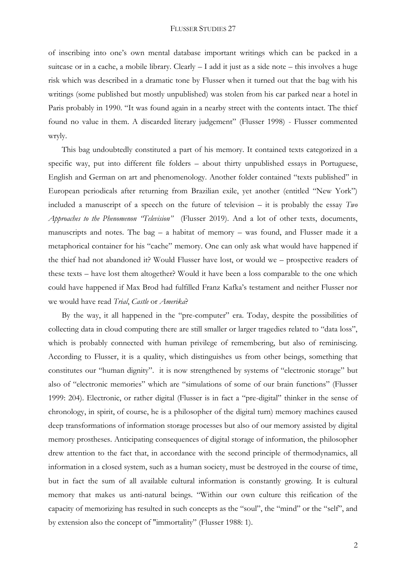of inscribing into one's own mental database important writings which can be packed in a suitcase or in a cache, a mobile library. Clearly  $- I$  add it just as a side note – this involves a huge risk which was described in a dramatic tone by Flusser when it turned out that the bag with his writings (some published but mostly unpublished) was stolen from his car parked near a hotel in Paris probably in 1990. "It was found again in a nearby street with the contents intact. The thief found no value in them. A discarded literary judgement" (Flusser 1998) - Flusser commented wryly.

This bag undoubtedly constituted a part of his memory. It contained texts categorized in a specific way, put into different file folders – about thirty unpublished essays in Portuguese, English and German on art and phenomenology. Another folder contained "texts published" in European periodicals after returning from Brazilian exile, yet another (entitled "New York") included a manuscript of a speech on the future of television – it is probably the essay *Two Approaches to the Phenomenon "Television"* (Flusser 2019). And a lot of other texts, documents, manuscripts and notes. The bag – a habitat of memory – was found, and Flusser made it a metaphorical container for his "cache" memory. One can only ask what would have happened if the thief had not abandoned it? Would Flusser have lost, or would we – prospective readers of these texts – have lost them altogether? Would it have been a loss comparable to the one which could have happened if Max Brod had fulfilled Franz Kafka's testament and neither Flusser nor we would have read *Trial*, *Castle* or *Amerika*?

By the way, it all happened in the "pre-computer" era. Today, despite the possibilities of collecting data in cloud computing there are still smaller or larger tragedies related to "data loss", which is probably connected with human privilege of remembering, but also of reminiscing. According to Flusser, it is a quality, which distinguishes us from other beings, something that constitutes our "human dignity". it is now strengthened by systems of "electronic storage" but also of "electronic memories" which are "simulations of some of our brain functions" (Flusser 1999: 204). Electronic, or rather digital (Flusser is in fact a "pre-digital" thinker in the sense of chronology, in spirit, of course, he is a philosopher of the digital turn) memory machines caused deep transformations of information storage processes but also of our memory assisted by digital memory prostheses. Anticipating consequences of digital storage of information, the philosopher drew attention to the fact that, in accordance with the second principle of thermodynamics, all information in a closed system, such as a human society, must be destroyed in the course of time, but in fact the sum of all available cultural information is constantly growing. It is cultural memory that makes us anti-natural beings. "Within our own culture this reification of the capacity of memorizing has resulted in such concepts as the "soul", the "mind" or the "self", and by extension also the concept of "immortality" (Flusser 1988: 1).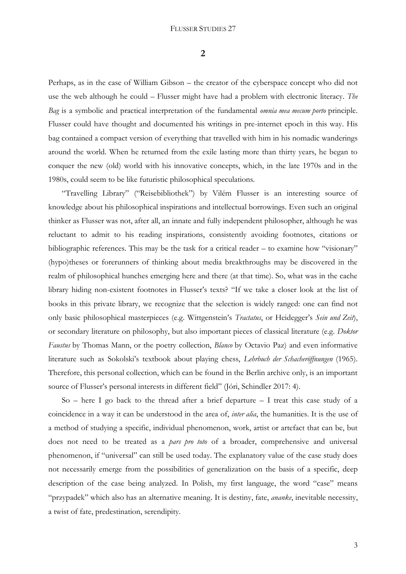**2**

Perhaps, as in the case of William Gibson – the creator of the cyberspace concept who did not use the web although he could – Flusser might have had a problem with electronic literacy. *The Bag* is a symbolic and practical interpretation of the fundamental *omnia mea mecum porto* principle. Flusser could have thought and documented his writings in pre-internet epoch in this way. His bag contained a compact version of everything that travelled with him in his nomadic wanderings around the world. When he returned from the exile lasting more than thirty years, he began to conquer the new (old) world with his innovative concepts, which, in the late 1970s and in the 1980s, could seem to be like futuristic philosophical speculations.

"Travelling Library" ("Reisebibliothek") by Vilém Flusser is an interesting source of knowledge about his philosophical inspirations and intellectual borrowings. Even such an original thinker as Flusser was not, after all, an innate and fully independent philosopher, although he was reluctant to admit to his reading inspirations, consistently avoiding footnotes, citations or bibliographic references. This may be the task for a critical reader – to examine how "visionary" (hypo)theses or forerunners of thinking about media breakthroughs may be discovered in the realm of philosophical hunches emerging here and there (at that time). So, what was in the cache library hiding non-existent footnotes in Flusser's texts? "If we take a closer look at the list of books in this private library, we recognize that the selection is widely ranged: one can find not only basic philosophical masterpieces (e.g. Wittgenstein's *Tractatus*, or Heidegger's *Sein und Zeit*), or secondary literature on philosophy, but also important pieces of classical literature (e.g. *Doktor Faustus* by Thomas Mann, or the poetry collection, *Blanco* by Octavio Paz) and even informative literature such as Sokolski's textbook about playing chess, *Lehrbuch der Schacheröffnungen* (1965). Therefore, this personal collection, which can be found in the Berlin archive only, is an important source of Flusser's personal interests in different field" (Jóri, Schindler 2017: 4).

So – here I go back to the thread after a brief departure – I treat this case study of a coincidence in a way it can be understood in the area of, *inter alia*, the humanities. It is the use of a method of studying a specific, individual phenomenon, work, artist or artefact that can be, but does not need to be treated as a *pars pro toto* of a broader, comprehensive and universal phenomenon, if "universal" can still be used today. The explanatory value of the case study does not necessarily emerge from the possibilities of generalization on the basis of a specific, deep description of the case being analyzed. In Polish, my first language, the word "case" means "przypadek" which also has an alternative meaning. It is destiny, fate, *ananke*, inevitable necessity, a twist of fate, predestination, serendipity.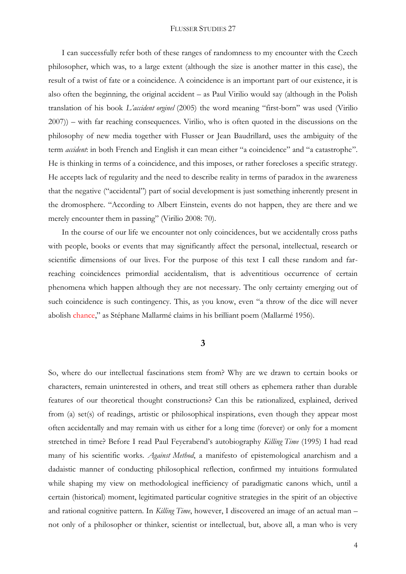I can successfully refer both of these ranges of randomness to my encounter with the Czech philosopher, which was, to a large extent (although the size is another matter in this case), the result of a twist of fate or a coincidence. A coincidence is an important part of our existence, it is also often the beginning, the original accident – as Paul Virilio would say (although in the Polish translation of his book *L'accident orginel* (2005) the word meaning "first-born" was used (Virilio 2007)) – with far reaching consequences. Virilio, who is often quoted in the discussions on the philosophy of new media together with Flusser or Jean Baudrillard, uses the ambiguity of the term *accident*: in both French and English it can mean either "a coincidence" and "a catastrophe". He is thinking in terms of a coincidence, and this imposes, or rather forecloses a specific strategy. He accepts lack of regularity and the need to describe reality in terms of paradox in the awareness that the negative ("accidental") part of social development is just something inherently present in the dromosphere. "According to Albert Einstein, events do not happen, they are there and we merely encounter them in passing" (Virilio 2008: 70).

In the course of our life we encounter not only coincidences, but we accidentally cross paths with people, books or events that may significantly affect the personal, intellectual, research or scientific dimensions of our lives. For the purpose of this text I call these random and farreaching coincidences primordial accidentalism, that is adventitious occurrence of certain phenomena which happen although they are not necessary. The only certainty emerging out of such coincidence is such contingency. This, as you know, even "a throw of the dice will never abolish chance," as Stéphane Mallarmé claims in his brilliant poem (Mallarmé 1956).

# **3**

So, where do our intellectual fascinations stem from? Why are we drawn to certain books or characters, remain uninterested in others, and treat still others as ephemera rather than durable features of our theoretical thought constructions? Can this be rationalized, explained, derived from (a) set(s) of readings, artistic or philosophical inspirations, even though they appear most often accidentally and may remain with us either for a long time (forever) or only for a moment stretched in time? Before I read Paul Feyerabend's autobiography *Killing Time* (1995) I had read many of his scientific works. *Against Method*, a manifesto of epistemological anarchism and a dadaistic manner of conducting philosophical reflection, confirmed my intuitions formulated while shaping my view on methodological inefficiency of paradigmatic canons which, until a certain (historical) moment, legitimated particular cognitive strategies in the spirit of an objective and rational cognitive pattern. In *Killing Time*, however, I discovered an image of an actual man – not only of a philosopher or thinker, scientist or intellectual, but, above all, a man who is very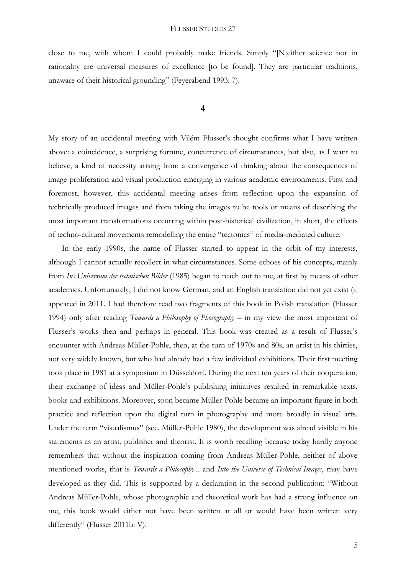close to me, with whom I could probably make friends. Simply "[N]either science nor in rationality are universal measures of excellence [to be found]. They are particular traditions, unaware of their historical grounding" (Feyerabend 1993: 7).

# **4**

My story of an accidental meeting with Vilém Flusser's thought confirms what I have written above: a coincidence, a surprising fortune, concurrence of circumstances, but also, as I want to believe, a kind of necessity arising from a convergence of thinking about the consequences of image proliferation and visual production emerging in various academic environments. First and foremost, however, this accidental meeting arises from reflection upon the expansion of technically produced images and from taking the images to be tools or means of describing the most important transformations occurring within post-historical civilization, in short, the effects of techno-cultural movements remodelling the entire "tectonics" of media-mediated culture.

In the early 1990s, the name of Flusser started to appear in the orbit of my interests, although I cannot actually recollect in what circumstances. Some echoes of his concepts, mainly from *Ins Universum der technischen Bilder* (1985) began to reach out to me, at first by means of other academics. Unfortunately, I did not know German, and an English translation did not yet exist (it appeared in 2011. I had therefore read two fragments of this book in Polish translation (Flusser 1994) only after reading *Towards a Philosophy of Photography* – in my view the most important of Flusser's works then and perhaps in general. This book was created as a result of Flusser's encounter with Andreas Müller-Pohle, then, at the turn of 1970s and 80s, an artist in his thirties, not very widely known, but who had already had a few individual exhibitions. Their first meeting took place in 1981 at a symposium in Düsseldorf. During the next ten years of their cooperation, their exchange of ideas and Müller-Pohle's publishing initiatives resulted in remarkable texts, books and exhibitions. Moreover, soon became Müller-Pohle became an important figure in both practice and reflection upon the digital turn in photography and more broadly in visual arts. Under the term "visualismus" (see. Müller-Pohle 1980), the development was alread visible in his statements as an artist, publisher and theorist. It is worth recalling because today hardly anyone remembers that without the inspiration coming from Andreas Müller-Pohle, neither of above mentioned works, that is *Towards a Philosophy*... and *Into the Universe of Technical Images*, may have developed as they did. This is supported by a declaration in the second publication: "Without Andreas Müller-Pohle, whose photographic and theoretical work has had a strong influence on me, this book would either not have been written at all or would have been written very differently" (Flusser 2011b: V).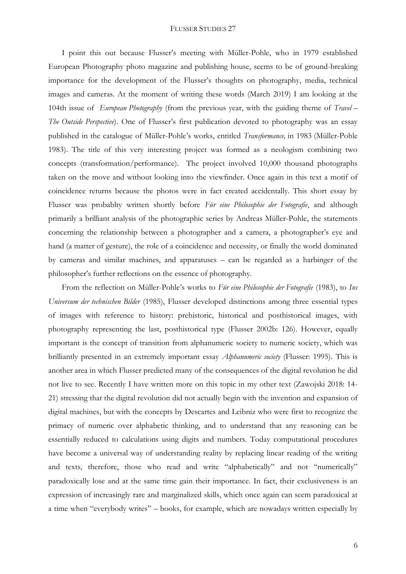I point this out because Flusser's meeting with Müller-Pohle, who in 1979 established European Photography photo magazine and publishing house, seems to be of ground-breaking importance for the development of the Flusser's thoughts on photography, media, technical images and cameras. At the moment of writing these words (March 2019) I am looking at the 104th issue of *European Photography* (from the previous year, with the guiding theme of *Travel – The Outside Perspective*). One of Flusser's first publication devoted to photography was an essay published in the catalogue of Müller-Pohle's works, entitled *Transformance,* in 1983 (Müller-Pohle 1983). The title of this very interesting project was formed as a neologism combining two concepts (transformation/performance). The project involved 10,000 thousand photographs taken on the move and without looking into the viewfinder. Once again in this text a motif of coincidence returns because the photos were in fact created accidentally. This short essay by Flusser was probablty written shortly before *Für eine Philosophie der Fotografie*, and although primarily a brilliant analysis of the photographic series by Andreas Müller-Pohle, the statements concerning the relationship between a photographer and a camera, a photographer's eye and hand (a matter of gesture), the role of a coincidence and necessity, or finally the world dominated by cameras and similar machines, and apparatuses – can be regarded as a harbinger of the philosopher's further reflections on the essence of photography.

From the reflection on Müller-Pohle's works to *Für eine Philosophie der Fotografie* (1983), to *Ins Universum der technischen Bilder* (1985), Flusser developed distinctions among three essential types of images with reference to history: prehistoric, historical and posthistorical images, with photography representing the last, posthistorical type (Flusser 2002b: 126). However, equally important is the concept of transition from alphanumeric society to numeric society, which was brilliantly presented in an extremely important essay *Alphanumeric society* (Flusser: 1995). This is another area in which Flusser predicted many of the consequences of the digital revolution he did not live to see. Recently I have written more on this topic in my other text (Zawojski 2018: 14- 21) stressing that the digital revolution did not actually begin with the invention and expansion of digital machines, but with the concepts by Descartes and Leibniz who were first to recognize the primacy of numeric over alphabetic thinking, and to understand that any reasoning can be essentially reduced to calculations using digits and numbers. Today computational procedures have become a universal way of understanding reality by replacing linear reading of the writing and texts, therefore, those who read and write "alphabetically" and not "numerically" paradoxically lose and at the same time gain their importance. In fact, their exclusiveness is an expression of increasingly rare and marginalized skills, which once again can seem paradoxical at a time when "everybody writes" – books, for example, which are nowadays written especially by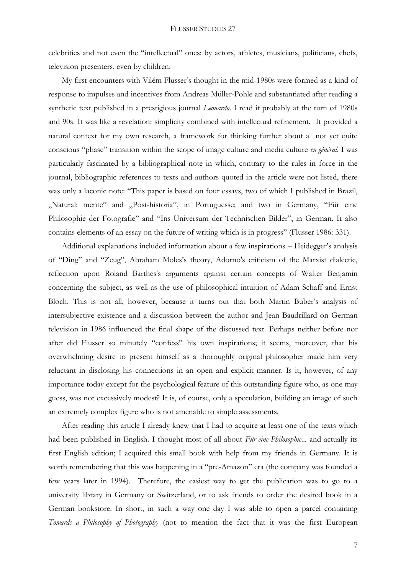celebrities and not even the "intellectual" ones: by actors, athletes, musicians, politicians, chefs, television presenters, even by children.

My first encounters with Vilém Flusser's thought in the mid-1980s were formed as a kind of response to impulses and incentives from Andreas Müller-Pohle and substantiated after reading a synthetic text published in a prestigious journal *Leonardo*. I read it probably at the turn of 1980s and 90s. It was like a revelation: simplicity combined with intellectual refinement. It provided a natural context for my own research, a framework for thinking further about a not yet quite conscious "phase" transition within the scope of image culture and media culture *en général*. I was particularly fascinated by a bibliographical note in which, contrary to the rules in force in the journal, bibliographic references to texts and authors quoted in the article were not listed, there was only a laconic note: "This paper is based on four essays, two of which I published in Brazil, "Natural: mente" and "Post-historia", in Portuguesse; and two in Germany, "Für eine Philosophie der Fotografie" and "Ins Universum der Technischen Bilder", in German. It also contains elements of an essay on the future of writing which is in progress" (Flusser 1986: 331).

Additional explanations included information about a few inspirations – Heidegger's analysis of "Ding" and "Zeug", Abraham Moles's theory, Adorno's criticism of the Marxist dialectic, reflection upon Roland Barthes's arguments against certain concepts of Walter Benjamin concerning the subject, as well as the use of philosophical intuition of Adam Schaff and Ernst Bloch. This is not all, however, because it turns out that both Martin Buber's analysis of intersubjective existence and a discussion between the author and Jean Baudrillard on German television in 1986 influenced the final shape of the discussed text. Perhaps neither before nor after did Flusser so minutely "confess" his own inspirations; it seems, moreover, that his overwhelming desire to present himself as a thoroughly original philosopher made him very reluctant in disclosing his connections in an open and explicit manner. Is it, however, of any importance today except for the psychological feature of this outstanding figure who, as one may guess, was not excessively modest? It is, of course, only a speculation, building an image of such an extremely complex figure who is not amenable to simple assessments.

After reading this article I already knew that I had to acquire at least one of the texts which had been published in English. I thought most of all about *Für eine Philosophie*... and actually its first English edition; I acquired this small book with help from my friends in Germany. It is worth remembering that this was happening in a "pre-Amazon" era (the company was founded a few years later in 1994). Therefore, the easiest way to get the publication was to go to a university library in Germany or Switzerland, or to ask friends to order the desired book in a German bookstore. In short, in such a way one day I was able to open a parcel containing *Towards a Philosophy of Photography* (not to mention the fact that it was the first European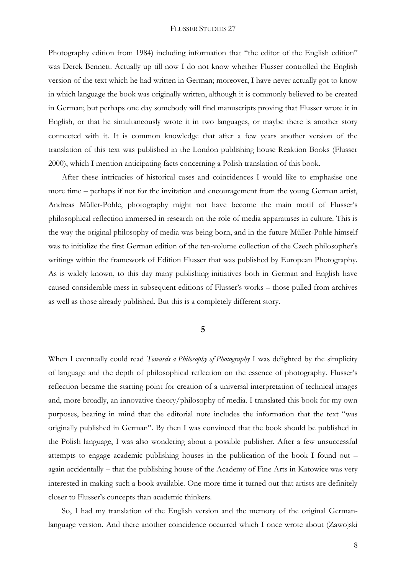Photography edition from 1984) including information that "the editor of the English edition" was Derek Bennett. Actually up till now I do not know whether Flusser controlled the English version of the text which he had written in German; moreover, I have never actually got to know in which language the book was originally written, although it is commonly believed to be created in German; but perhaps one day somebody will find manuscripts proving that Flusser wrote it in English, or that he simultaneously wrote it in two languages, or maybe there is another story connected with it. It is common knowledge that after a few years another version of the translation of this text was published in the London publishing house Reaktion Books (Flusser 2000), which I mention anticipating facts concerning a Polish translation of this book.

After these intricacies of historical cases and coincidences I would like to emphasise one more time – perhaps if not for the invitation and encouragement from the young German artist, Andreas Müller-Pohle, photography might not have become the main motif of Flusser's philosophical reflection immersed in research on the role of media apparatuses in culture. This is the way the original philosophy of media was being born, and in the future Müller-Pohle himself was to initialize the first German edition of the ten-volume collection of the Czech philosopher's writings within the framework of Edition Flusser that was published by European Photography. As is widely known, to this day many publishing initiatives both in German and English have caused considerable mess in subsequent editions of Flusser's works – those pulled from archives as well as those already published. But this is a completely different story.

## **5**

When I eventually could read *Towards a Philosophy of Photography* I was delighted by the simplicity of language and the depth of philosophical reflection on the essence of photography. Flusser's reflection became the starting point for creation of a universal interpretation of technical images and, more broadly, an innovative theory/philosophy of media. I translated this book for my own purposes, bearing in mind that the editorial note includes the information that the text "was originally published in German". By then I was convinced that the book should be published in the Polish language, I was also wondering about a possible publisher. After a few unsuccessful attempts to engage academic publishing houses in the publication of the book I found out – again accidentally – that the publishing house of the Academy of Fine Arts in Katowice was very interested in making such a book available. One more time it turned out that artists are definitely closer to Flusser's concepts than academic thinkers.

So, I had my translation of the English version and the memory of the original Germanlanguage version. And there another coincidence occurred which I once wrote about (Zawojski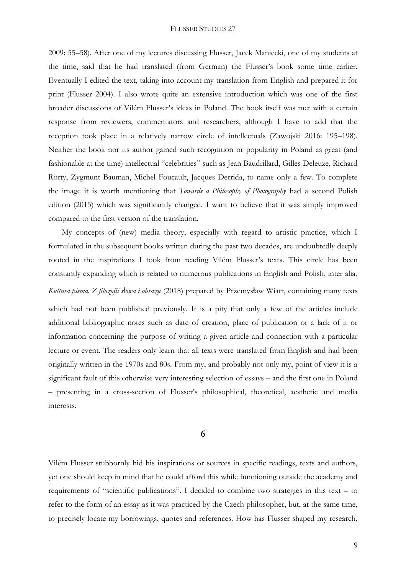2009: 55–58). After one of my lectures discussing Flusser, Jacek Maniecki, one of my students at the time, said that he had translated (from German) the Flusser's book some time earlier. Eventually I edited the text, taking into account my translation from English and prepared it for print (Flusser 2004). I also wrote quite an extensive introduction which was one of the first broader discussions of Vilém Flusser's ideas in Poland. The book itself was met with a certain response from reviewers, commentators and researchers, although I have to add that the reception took place in a relatively narrow circle of intellectuals (Zawojski 2016: 195–198). Neither the book nor its author gained such recognition or popularity in Poland as great (and fashionable at the time) intellectual "celebrities" such as Jean Baudrillard, Gilles Deleuze, Richard Rorty, Zygmunt Bauman, Michel Foucault, Jacques Derrida, to name only a few. To complete the image it is worth mentioning that *Towards a Philosophy of Photography* had a second Polish edition (2015) which was significantly changed. I want to believe that it was simply improved compared to the first version of the translation.

My concepts of (new) media theory, especially with regard to artistic practice, which I formulated in the subsequent books written during the past two decades, are undoubtedly deeply rooted in the inspirations I took from reading Vilém Flusser's texts. This circle has been constantly expanding which is related to numerous publications in English and Polish, inter alia, *Kultura pisma. Z filozofii s*ł*owa i obrazu* (2018) prepared by Przemysław Wiatr, containing many texts

which had not been published previously. It is a pity that only a few of the articles include additional bibliographic notes such as date of creation, place of publication or a lack of it or information concerning the purpose of writing a given article and connection with a particular lecture or event. The readers only learn that all texts were translated from English and had been originally written in the 1970s and 80s. From my, and probably not only my, point of view it is a significant fault of this otherwise very interesting selection of essays – and the first one in Poland – presenting in a cross-section of Flusser's philosophical, theoretical, aesthetic and media interests.

# **6**

Vilém Flusser stubbornly hid his inspirations or sources in specific readings, texts and authors, yet one should keep in mind that he could afford this while functioning outside the academy and requirements of "scientific publications". I decided to combine two strategies in this text – to refer to the form of an essay as it was practiced by the Czech philosopher, but, at the same time, to precisely locate my borrowings, quotes and references. How has Flusser shaped my research,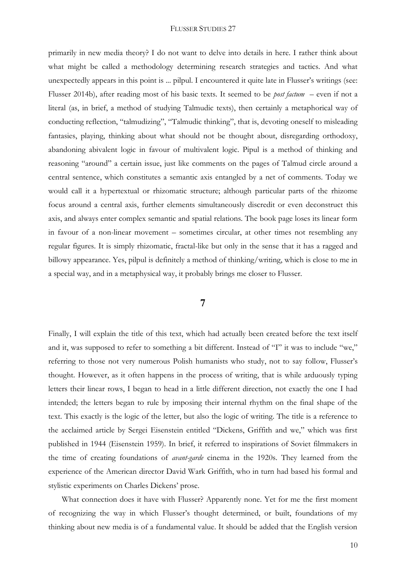primarily in new media theory? I do not want to delve into details in here. I rather think about what might be called a methodology determining research strategies and tactics. And what unexpectedly appears in this point is ... pilpul. I encountered it quite late in Flusser's writings (see: Flusser 2014b), after reading most of his basic texts. It seemed to be *post factum* – even if not a literal (as, in brief, a method of studying Talmudic texts), then certainly a metaphorical way of conducting reflection, "talmudizing", "Talmudic thinking", that is, devoting oneself to misleading fantasies, playing, thinking about what should not be thought about, disregarding orthodoxy, abandoning abivalent logic in favour of multivalent logic. Pipul is a method of thinking and reasoning "around" a certain issue, just like comments on the pages of Talmud circle around a central sentence, which constitutes a semantic axis entangled by a net of comments. Today we would call it a hypertextual or rhizomatic structure; although particular parts of the rhizome focus around a central axis, further elements simultaneously discredit or even deconstruct this axis, and always enter complex semantic and spatial relations. The book page loses its linear form in favour of a non-linear movement – sometimes circular, at other times not resembling any regular figures. It is simply rhizomatic, fractal-like but only in the sense that it has a ragged and billowy appearance. Yes, pilpul is definitely a method of thinking/writing, which is close to me in a special way, and in a metaphysical way, it probably brings me closer to Flusser.

# **7**

Finally, I will explain the title of this text, which had actually been created before the text itself and it, was supposed to refer to something a bit different. Instead of "I" it was to include "we," referring to those not very numerous Polish humanists who study, not to say follow, Flusser's thought. However, as it often happens in the process of writing, that is while arduously typing letters their linear rows, I began to head in a little different direction, not exactly the one I had intended; the letters began to rule by imposing their internal rhythm on the final shape of the text. This exactly is the logic of the letter, but also the logic of writing. The title is a reference to the acclaimed article by Sergei Eisenstein entitled "Dickens, Griffith and we," which was first published in 1944 (Eisenstein 1959). In brief, it referred to inspirations of Soviet filmmakers in the time of creating foundations of *avant-garde* cinema in the 1920s. They learned from the experience of the American director David Wark Griffith, who in turn had based his formal and stylistic experiments on Charles Dickens' prose.

What connection does it have with Flusser? Apparently none. Yet for me the first moment of recognizing the way in which Flusser's thought determined, or built, foundations of my thinking about new media is of a fundamental value. It should be added that the English version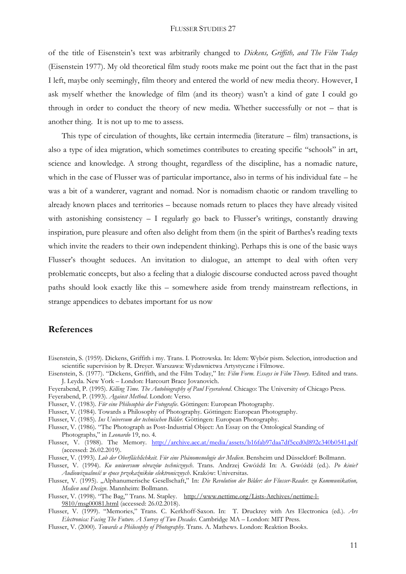of the title of Eisenstein's text was arbitrarily changed to *Dickens, Griffith, and The Film Today* (Eisenstein 1977). My old theoretical film study roots make me point out the fact that in the past I left, maybe only seemingly, film theory and entered the world of new media theory. However, I ask myself whether the knowledge of film (and its theory) wasn't a kind of gate I could go through in order to conduct the theory of new media. Whether successfully or not – that is another thing. It is not up to me to assess.

This type of circulation of thoughts, like certain intermedia (literature – film) transactions, is also a type of idea migration, which sometimes contributes to creating specific "schools" in art, science and knowledge. A strong thought, regardless of the discipline, has a nomadic nature, which in the case of Flusser was of particular importance, also in terms of his individual fate – he was a bit of a wanderer, vagrant and nomad. Nor is nomadism chaotic or random travelling to already known places and territories – because nomads return to places they have already visited with astonishing consistency - I regularly go back to Flusser's writings, constantly drawing inspiration, pure pleasure and often also delight from them (in the spirit of Barthes's reading texts which invite the readers to their own independent thinking). Perhaps this is one of the basic ways Flusser's thought seduces. An invitation to dialogue, an attempt to deal with often very problematic concepts, but also a feeling that a dialogic discourse conducted across paved thought paths should look exactly like this – somewhere aside from trendy mainstream reflections, in strange appendices to debates important for us now

# **References**

- Eisenstein, S. (1959). Dickens, Griffith i my. Trans. I. Piotrowska. In: Idem: Wybór pism. Selection, introduction and scientific supervision by R. Dreyer. Warszawa: Wydawnictwa Artystyczne i Filmowe.
- Eisenstein, S. (1977). "Dickens, Griffith, and the Film Today," In: *Film Form. Essays in Film Theory*. Edited and trans. J. Leyda. New York – London: Harcourt Brace Jovanovich.
- Feyerabend, P. (1995). *Killing Time. The Autobiography of Paul Feyerabend*. Chicago: The University of Chicago Press.
- Feyerabend, P. (1993). *Against Method*. London: Verso.
- Flusser, V. (1983). *Für eine Philosophie der Fotografie*. Göttingen: European Photography.
- Flusser, V. (1984). Towards a Philosophy of Photography. Göttingen: European Photography.
- Flusser, V. (1985). *Ins Universum der technischen Bilder.* Göttingen: European Photography.
- Flusser, V. (1986). "The Photograph as Post-Industrial Object: An Essay on the Ontological Standing of Photographs," in *Leonardo* 19, no. 4.
- Flusser, V. (1988). The Memory. <http://archive.aec.at/media/assets/b16fab97daa7df5ccd0d892c340b0541.pdf> (accessed: 26.02.2019).
- Flusser, V. (1993). *Lob der Oberflächlichkeit. Für eine Phänomenologie der Medien*. Bensheim und Düsseldorf: Bollmann.
- Flusser, V. (1994). *Ku uniwersum obrazów technicznych*. Trans. Andrzej Gwóźdź In: A. Gwóźdź (ed.). *Po kinie? Audiowizualność w epoce przekaźników elektronicznych*. Kraków: Universitas.
- Flusser, V. (1995). "Alphanumerische Gesellschaft," In: *Die Revolution der Bilder: der Flusser-Reader. zu Kommunikation, Medien und Design*. Mannheim: Bollmann.
- Flusser, V. (1998). "The Bag," Trans. M. Stapley. [http://www.nettime.org/Lists-Archives/nettime-l-](http://www.nettime.org/Lists-Archives/nettime-l-%099810/msg00081.html)[9810/msg00081.html](http://www.nettime.org/Lists-Archives/nettime-l-%099810/msg00081.html) (accessed: 26.02.2018).
- Flusser, V. (1999). "Memories," Trans. C. Kerkhoff-Saxon. In: T. Druckrey with Ars Electronica (ed.). *Ars Electronica: Facing The Future. A Survey of Two Decades*. Cambridge MA – London: MIT Press.
- Flusser, V. (2000). *Towards a Philosophy of Photography*. Trans. A. Mathews. London: Reaktion Books.